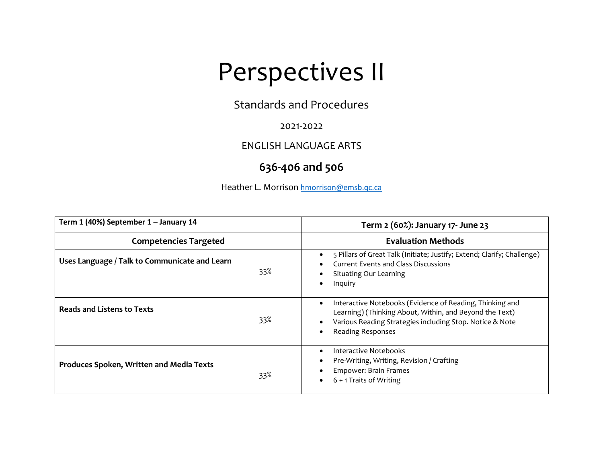## Perspectives II

Standards and Procedures

2021-2022

ENGLISH LANGUAGE ARTS

## **636-406 and 506**

Heather L. Morrison hmorrison@emsb.qc.ca

| Term 1 (40%) September 1 - January 14                  | Term 2 (60%): January 17- June 23                                                                                                                                                                                |
|--------------------------------------------------------|------------------------------------------------------------------------------------------------------------------------------------------------------------------------------------------------------------------|
| <b>Competencies Targeted</b>                           | <b>Evaluation Methods</b>                                                                                                                                                                                        |
| Uses Language / Talk to Communicate and Learn<br>33%   | 5 Pillars of Great Talk (Initiate; Justify; Extend; Clarify; Challenge)<br><b>Current Events and Class Discussions</b><br><b>Situating Our Learning</b><br>Inquiry                                               |
| <b>Reads and Listens to Texts</b><br>33%               | Interactive Notebooks (Evidence of Reading, Thinking and<br>٠<br>Learning) (Thinking About, Within, and Beyond the Text)<br>Various Reading Strategies including Stop. Notice & Note<br><b>Reading Responses</b> |
| <b>Produces Spoken, Written and Media Texts</b><br>33% | <b>Interactive Notebooks</b><br>Pre-Writing, Writing, Revision / Crafting<br>Empower: Brain Frames<br>6 + 1 Traits of Writing                                                                                    |